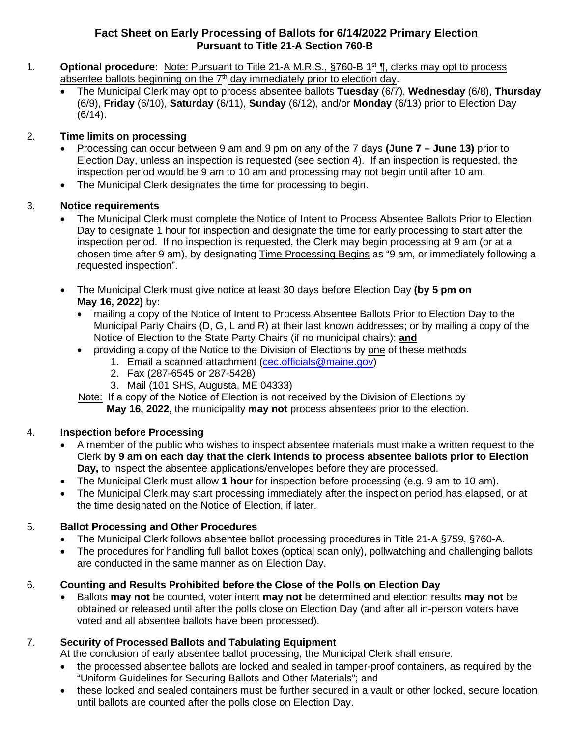#### **Fact Sheet on Early Processing of Ballots for 6/14/2022 Primary Election Pursuant to Title 21-A Section 760-B**

- 1. **Optional procedure:** Note: Pursuant to Title 21-A M.R.S., §760-B 1<sup>st</sup> ¶, clerks may opt to process absentee ballots beginning on the  $7<sup>th</sup>$  day immediately prior to election day.
	- The Municipal Clerk may opt to process absentee ballots **Tuesday** (6/7), **Wednesday** (6/8), **Thursday** (6/9), **Friday** (6/10), **Saturday** (6/11), **Sunday** (6/12), and/or **Monday** (6/13) prior to Election Day (6/14).

#### 2. **Time limits on processing**

- Processing can occur between 9 am and 9 pm on any of the 7 days **(June 7 – June 13)** prior to Election Day, unless an inspection is requested (see section 4). If an inspection is requested, the inspection period would be 9 am to 10 am and processing may not begin until after 10 am.
- The Municipal Clerk designates the time for processing to begin.

#### 3. **Notice requirements**

- The Municipal Clerk must complete the Notice of Intent to Process Absentee Ballots Prior to Election Day to designate 1 hour for inspection and designate the time for early processing to start after the inspection period. If no inspection is requested, the Clerk may begin processing at 9 am (or at a chosen time after 9 am), by designating Time Processing Begins as "9 am, or immediately following a requested inspection".
- The Municipal Clerk must give notice at least 30 days before Election Day **(by 5 pm on May 16, 2022)** by**:**
	- mailing a copy of the Notice of Intent to Process Absentee Ballots Prior to Election Day to the Municipal Party Chairs (D, G, L and R) at their last known addresses; or by mailing a copy of the Notice of Election to the State Party Chairs (if no municipal chairs); **and**
	- providing a copy of the Notice to the Division of Elections by one of these methods
		- 1. Email a scanned attachment [\(cec.officials@maine.gov\)](mailto:cec.officials@maine.gov)
			- 2. Fax (287-6545 or 287-5428)
		- 3. Mail (101 SHS, Augusta, ME 04333)

Note: If a copy of the Notice of Election is not received by the Division of Elections by

**May 16, 2022,** the municipality **may not** process absentees prior to the election.

# 4. **Inspection before Processing**

- A member of the public who wishes to inspect absentee materials must make a written request to the Clerk **by 9 am on each day that the clerk intends to process absentee ballots prior to Election Day,** to inspect the absentee applications/envelopes before they are processed.
- The Municipal Clerk must allow **1 hour** for inspection before processing (e.g. 9 am to 10 am).
- The Municipal Clerk may start processing immediately after the inspection period has elapsed, or at the time designated on the Notice of Election, if later.

# 5. **Ballot Processing and Other Procedures**

- The Municipal Clerk follows absentee ballot processing procedures in Title 21-A §759, §760-A.
- The procedures for handling full ballot boxes (optical scan only), pollwatching and challenging ballots are conducted in the same manner as on Election Day.

# 6. **Counting and Results Prohibited before the Close of the Polls on Election Day**

• Ballots **may not** be counted, voter intent **may not** be determined and election results **may not** be obtained or released until after the polls close on Election Day (and after all in-person voters have voted and all absentee ballots have been processed).

# 7. **Security of Processed Ballots and Tabulating Equipment**

At the conclusion of early absentee ballot processing, the Municipal Clerk shall ensure:

- the processed absentee ballots are locked and sealed in tamper-proof containers, as required by the "Uniform Guidelines for Securing Ballots and Other Materials"; and
- these locked and sealed containers must be further secured in a vault or other locked, secure location until ballots are counted after the polls close on Election Day.